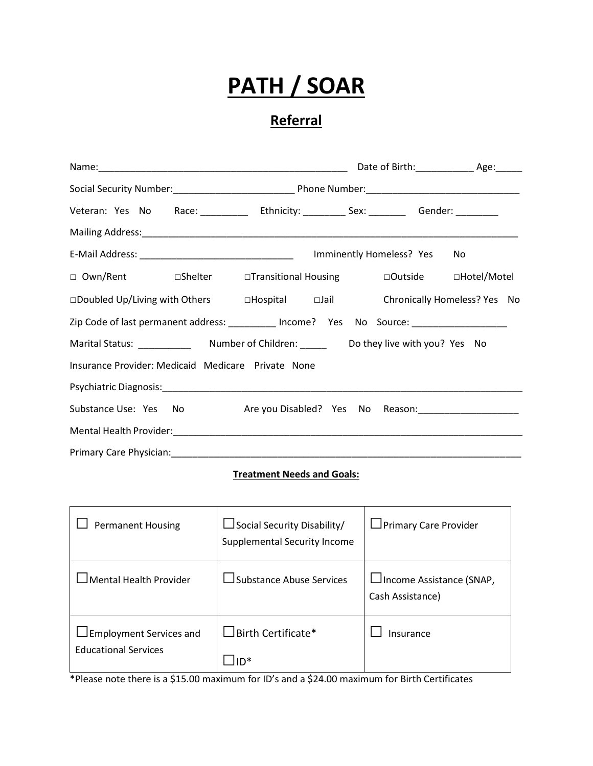# **PATH / SOAR**

## **Referral**

|                                                                                          | Date of Birth: _________________ Age: _______ |  |  |
|------------------------------------------------------------------------------------------|-----------------------------------------------|--|--|
|                                                                                          |                                               |  |  |
| Veteran: Yes No Race: __________ Ethnicity: _________ Sex: ________ Gender: _________    |                                               |  |  |
|                                                                                          |                                               |  |  |
|                                                                                          | No.                                           |  |  |
| □ Own/Rent □ □Shelter □ Transitional Housing □ □ Outside □ Hotel/Motel                   |                                               |  |  |
| □Doubled Up/Living with Others DHospital DJail Chronically Homeless? Yes No              |                                               |  |  |
| Zip Code of last permanent address: _________ Income? Yes No Source: ___________________ |                                               |  |  |
|                                                                                          |                                               |  |  |
| Insurance Provider: Medicaid Medicare Private None                                       |                                               |  |  |
|                                                                                          |                                               |  |  |
|                                                                                          |                                               |  |  |
|                                                                                          |                                               |  |  |
|                                                                                          |                                               |  |  |

#### **Treatment Needs and Goals:**

| <b>Permanent Housing</b>                                      | $\Box$ Social Security Disability/<br>Supplemental Security Income | □ Primary Care Provider                       |
|---------------------------------------------------------------|--------------------------------------------------------------------|-----------------------------------------------|
| <b>Mental Health Provider</b>                                 | Substance Abuse Services                                           | □Income Assistance (SNAP,<br>Cash Assistance) |
| <b>Employment Services and</b><br><b>Educational Services</b> | $\exists$ Birth Certificate*                                       | Insurance                                     |

\*Please note there is a \$15.00 maximum for ID's and a \$24.00 maximum for Birth Certificates